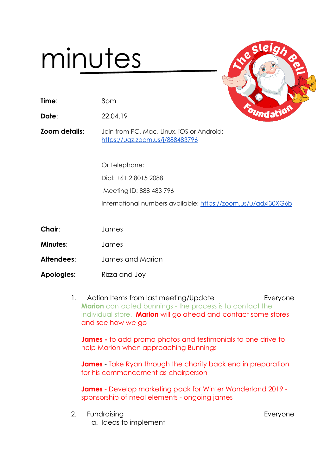## minutes

**Time**: 8pm

**Date:** 22.04.19

**Zoom details**: Join from PC, Mac, Linux, iOS or Android: <https://uqz.zoom.us/j/888483796>

> Or Telephone: Dial: +61 2 8015 2088 Meeting ID: 888 483 796 International numbers available:<https://zoom.us/u/adxl30XG6b>

**Chair**: James

**Minutes**: James

**Attendees**: James and Marion

- **Apologies:** Rizza and Joy
	- 1. Action Items from last meeting/Update Everyone **Marion** contacted bunnings - the process is to contact the individual store. **Marion** will go ahead and contact some stores and see how we go

**James -** to add promo photos and testimonials to one drive to help Marion when approaching Bunnings

**James** - Take Ryan through the charity back end in preparation for his commencement as chairperson

**James** - Develop marketing pack for Winter Wonderland 2019 sponsorship of meal elements - ongoing james

2. Fundraising **Everyone** a. Ideas to implement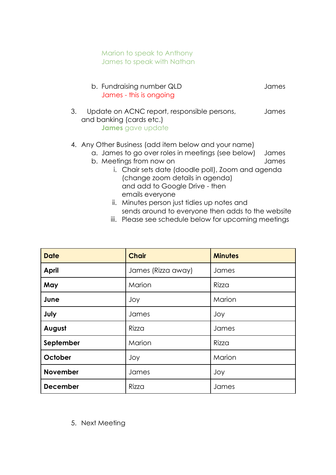Marion to speak to Anthony James to speak with Nathan

- b. Fundraising number QLD James James - this is ongoing
- 3. Update on ACNC report, responsible persons, James and banking (cards etc.) **James** gave update

## 4. Any Other Business (add item below and your name)

- a. James to go over roles in meetings (see below) James b. Meetings from now on James
	-
	- i. Chair sets date (doodle poll), Zoom and agenda (change zoom details in agenda) and add to Google Drive - then emails everyone
	- ii. Minutes person just tidies up notes and sends around to everyone then adds to the website
	- iii. Please see schedule below for upcoming meetings

| <b>Date</b>     | <b>Chair</b>       | <b>Minutes</b> |
|-----------------|--------------------|----------------|
| <b>April</b>    | James (Rizza away) | James          |
| May             | Marion             | Rizza          |
| June            | Joy                | Marion         |
| July            | James              | Joy            |
| August          | Rizza              | James          |
| September       | Marion             | Rizza          |
| October         | Joy                | Marion         |
| <b>November</b> | James              | Joy            |
| <b>December</b> | Rizza              | James          |

5. Next Meeting